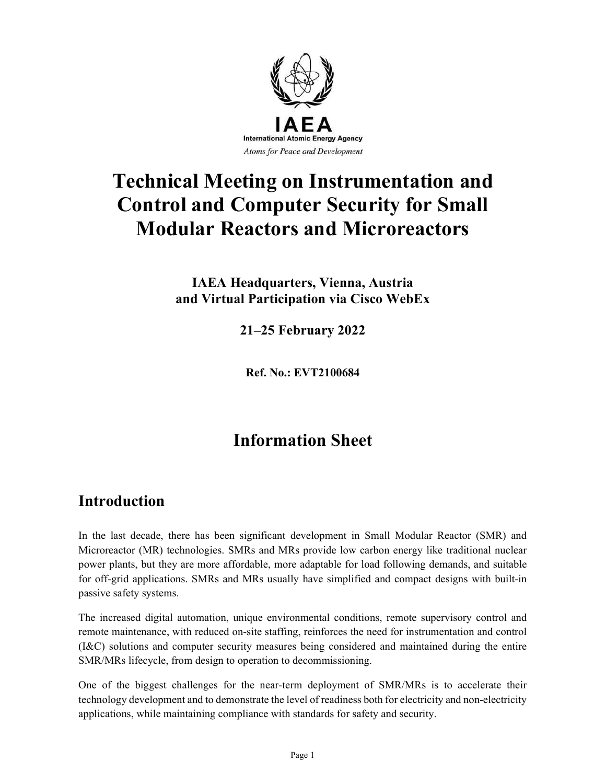

# Technical Meeting on Instrumentation and Control and Computer Security for Small Modular Reactors and Microreactors

IAEA Headquarters, Vienna, Austria and Virtual Participation via Cisco WebEx

2125 February 2022

Ref. No.: EVT2100684

## Information Sheet

## Introduction

In the last decade, there has been significant development in Small Modular Reactor (SMR) and Microreactor (MR) technologies. SMRs and MRs provide low carbon energy like traditional nuclear power plants, but they are more affordable, more adaptable for load following demands, and suitable for off-grid applications. SMRs and MRs usually have simplified and compact designs with built-in passive safety systems.

The increased digital automation, unique environmental conditions, remote supervisory control and remote maintenance, with reduced on-site staffing, reinforces the need for instrumentation and control (I&C) solutions and computer security measures being considered and maintained during the entire SMR/MRs lifecycle, from design to operation to decommissioning.

One of the biggest challenges for the near-term deployment of SMR/MRs is to accelerate their technology development and to demonstrate the level of readiness both for electricity and non-electricity applications, while maintaining compliance with standards for safety and security.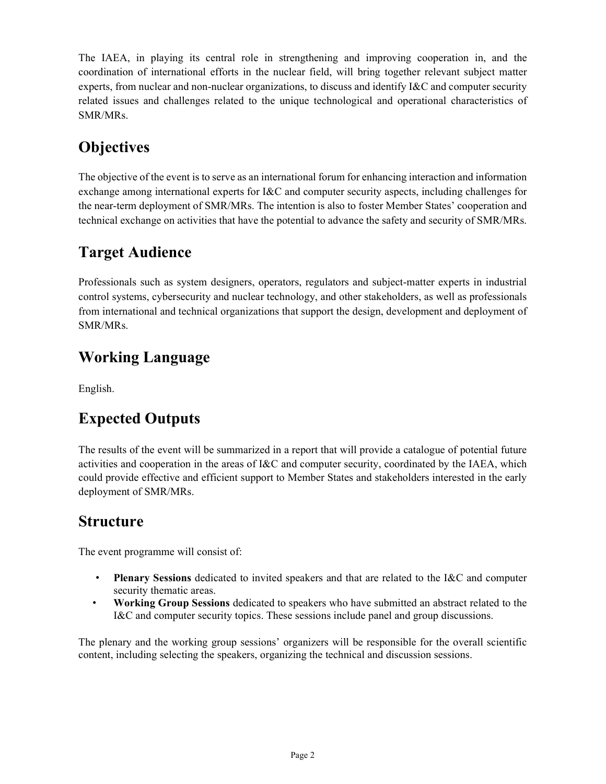The IAEA, in playing its central role in strengthening and improving cooperation in, and the coordination of international efforts in the nuclear field, will bring together relevant subject matter experts, from nuclear and non-nuclear organizations, to discuss and identify I&C and computer security related issues and challenges related to the unique technological and operational characteristics of SMR/MRs.

## **Objectives**

The objective of the event is to serve as an international forum for enhancing interaction and information exchange among international experts for I&C and computer security aspects, including challenges for the near-term deployment of SMR/MRs. The intention is also to foster Member States' cooperation and technical exchange on activities that have the potential to advance the safety and security of SMR/MRs.

## Target Audience

Professionals such as system designers, operators, regulators and subject-matter experts in industrial control systems, cybersecurity and nuclear technology, and other stakeholders, as well as professionals from international and technical organizations that support the design, development and deployment of SMR/MRs.

## Working Language

English.

## Expected Outputs

The results of the event will be summarized in a report that will provide a catalogue of potential future activities and cooperation in the areas of I&C and computer security, coordinated by the IAEA, which could provide effective and efficient support to Member States and stakeholders interested in the early deployment of SMR/MRs.

## **Structure**

The event programme will consist of:

- Plenary Sessions dedicated to invited speakers and that are related to the I&C and computer security thematic areas.
- Working Group Sessions dedicated to speakers who have submitted an abstract related to the I&C and computer security topics. These sessions include panel and group discussions.

The plenary and the working group sessions' organizers will be responsible for the overall scientific content, including selecting the speakers, organizing the technical and discussion sessions.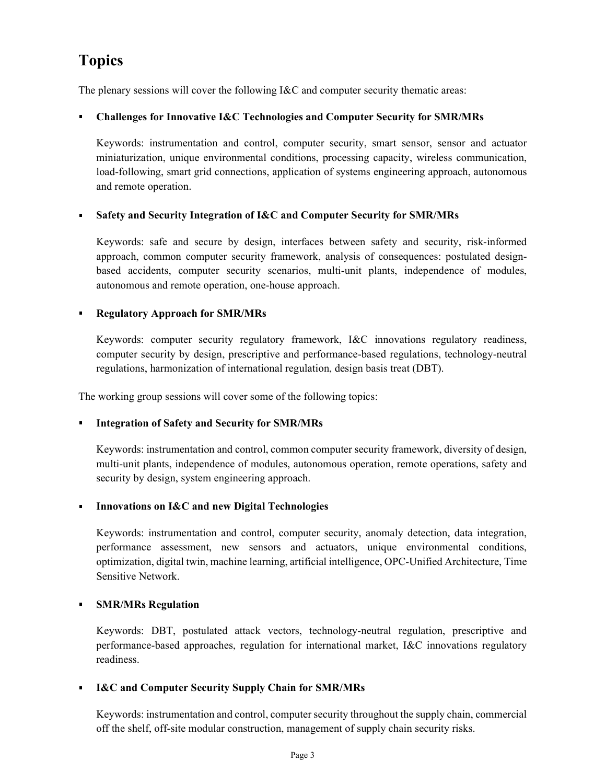## Topics

The plenary sessions will cover the following I&C and computer security thematic areas:

#### Challenges for Innovative I&C Technologies and Computer Security for SMR/MRs  $\blacksquare$

Keywords: instrumentation and control, computer security, smart sensor, sensor and actuator miniaturization, unique environmental conditions, processing capacity, wireless communication, load-following, smart grid connections, application of systems engineering approach, autonomous and remote operation.

#### $\blacksquare$ Safety and Security Integration of I&C and Computer Security for SMR/MRs

Keywords: safe and secure by design, interfaces between safety and security, risk-informed approach, common computer security framework, analysis of consequences: postulated designbased accidents, computer security scenarios, multi-unit plants, independence of modules, autonomous and remote operation, one-house approach.

#### Regulatory Approach for SMR/MRs  $\blacksquare$

Keywords: computer security regulatory framework, I&C innovations regulatory readiness, computer security by design, prescriptive and performance-based regulations, technology-neutral regulations, harmonization of international regulation, design basis treat (DBT).

The working group sessions will cover some of the following topics:

### Integration of Safety and Security for SMR/MRs

Keywords: instrumentation and control, common computer security framework, diversity of design, multi-unit plants, independence of modules, autonomous operation, remote operations, safety and security by design, system engineering approach.

### Innovations on I&C and new Digital Technologies

Keywords: instrumentation and control, computer security, anomaly detection, data integration, performance assessment, new sensors and actuators, unique environmental conditions, optimization, digital twin, machine learning, artificial intelligence, OPC-Unified Architecture, Time Sensitive Network.

#### $\blacksquare$ SMR/MRs Regulation

Keywords: DBT, postulated attack vectors, technology-neutral regulation, prescriptive and performance-based approaches, regulation for international market, I&C innovations regulatory readiness.

### **I&C and Computer Security Supply Chain for SMR/MRs**

Keywords: instrumentation and control, computer security throughout the supply chain, commercial off the shelf, off-site modular construction, management of supply chain security risks.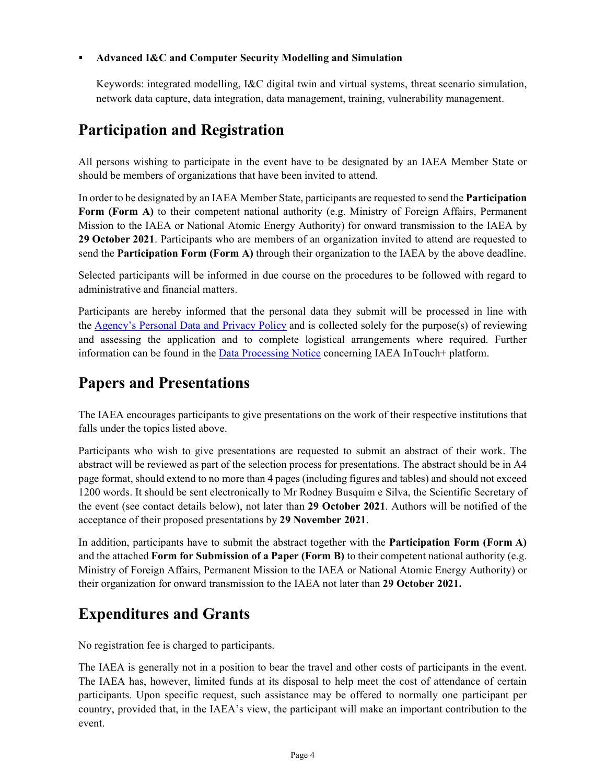### Advanced I&C and Computer Security Modelling and Simulation

Keywords: integrated modelling, I&C digital twin and virtual systems, threat scenario simulation, network data capture, data integration, data management, training, vulnerability management.

## Participation and Registration

All persons wishing to participate in the event have to be designated by an IAEA Member State or should be members of organizations that have been invited to attend.

In order to be designated by an IAEA Member State, participants are requested to send the **Participation** Form (Form A) to their competent national authority (e.g. Ministry of Foreign Affairs, Permanent Mission to the IAEA or National Atomic Energy Authority) for onward transmission to the IAEA by 29 October 2021. Participants who are members of an organization invited to attend are requested to send the Participation Form (Form A) through their organization to the IAEA by the above deadline.

Selected participants will be informed in due course on the procedures to be followed with regard to administrative and financial matters.

Participants are hereby informed that the personal data they submit will be processed in line with the Agency's Personal Data and Privacy Policy and is collected solely for the purpose(s) of reviewing and assessing the application and to complete logistical arrangements where required. Further information can be found in the Data Processing Notice concerning IAEA InTouch+ platform.

## Papers and Presentations

The IAEA encourages participants to give presentations on the work of their respective institutions that falls under the topics listed above.

Participants who wish to give presentations are requested to submit an abstract of their work. The abstract will be reviewed as part of the selection process for presentations. The abstract should be in A4 page format, should extend to no more than 4 pages (including figures and tables) and should not exceed 1200 words. It should be sent electronically to Mr Rodney Busquim e Silva, the Scientific Secretary of the event (see contact details below), not later than 29 October 2021. Authors will be notified of the

acceptance of their proposed presentations by 29 November 2021.<br>In addition, participants have to submit the abstract together with the Participation Form (Form A) and the attached Form for Submission of a Paper (Form B) to their competent national authority (e.g. Ministry of Foreign Affairs, Permanent Mission to the IAEA or National Atomic Energy Authority) or their organization for onward transmission to the IAEA not later than 29 October 2021.

## Expenditures and Grants

No registration fee is charged to participants.

The IAEA is generally not in a position to bear the travel and other costs of participants in the event. The IAEA has, however, limited funds at its disposal to help meet the cost of attendance of certain participants. Upon specific request, such assistance may be offered to normally one participant per country, provided that, in the IAEA's view, the participant will make an important contribution to the event.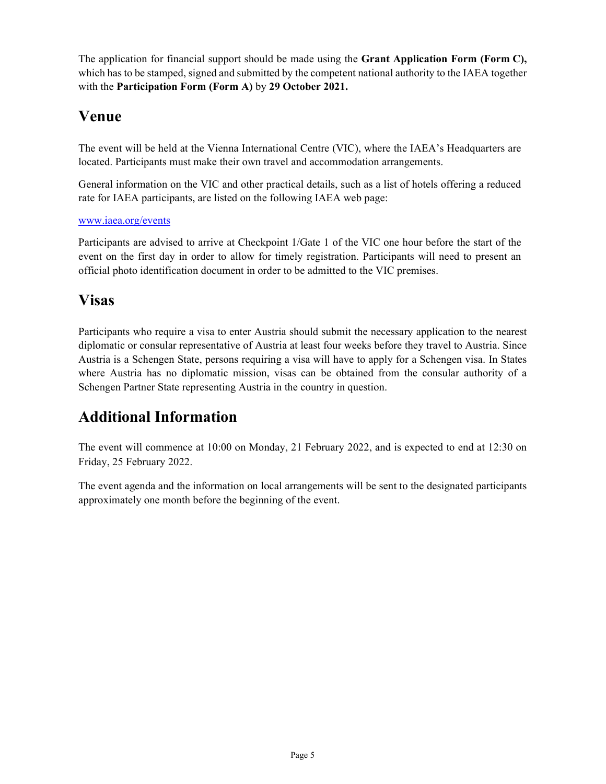The application for financial support should be made using the Grant Application Form (Form C), which has to be stamped, signed and submitted by the competent national authority to the IAEA together with the Participation Form (Form A) by 29 October 2021.

## Venue

The event will be held at the Vienna International Centre (VIC), where the IAEA's Headquarters are located. Participants must make their own travel and accommodation arrangements.

General information on the VIC and other practical details, such as a list of hotels offering a reduced rate for IAEA participants, are listed on the following IAEA web page:

### www.iaea.org/events

Participants are advised to arrive at Checkpoint 1/Gate 1 of the VIC one hour before the start of the event on the first day in order to allow for timely registration. Participants will need to present an official photo identification document in order to be admitted to the VIC premises.

## Visas

Participants who require a visa to enter Austria should submit the necessary application to the nearest diplomatic or consular representative of Austria at least four weeks before they travel to Austria. Since Austria is a Schengen State, persons requiring a visa will have to apply for a Schengen visa. In States where Austria has no diplomatic mission, visas can be obtained from the consular authority of a Schengen Partner State representing Austria in the country in question.

## Additional Information

The event will commence at 10:00 on Monday, 21 February 2022, and is expected to end at 12:30 on Friday, 25 February 2022.

The event agenda and the information on local arrangements will be sent to the designated participants approximately one month before the beginning of the event.